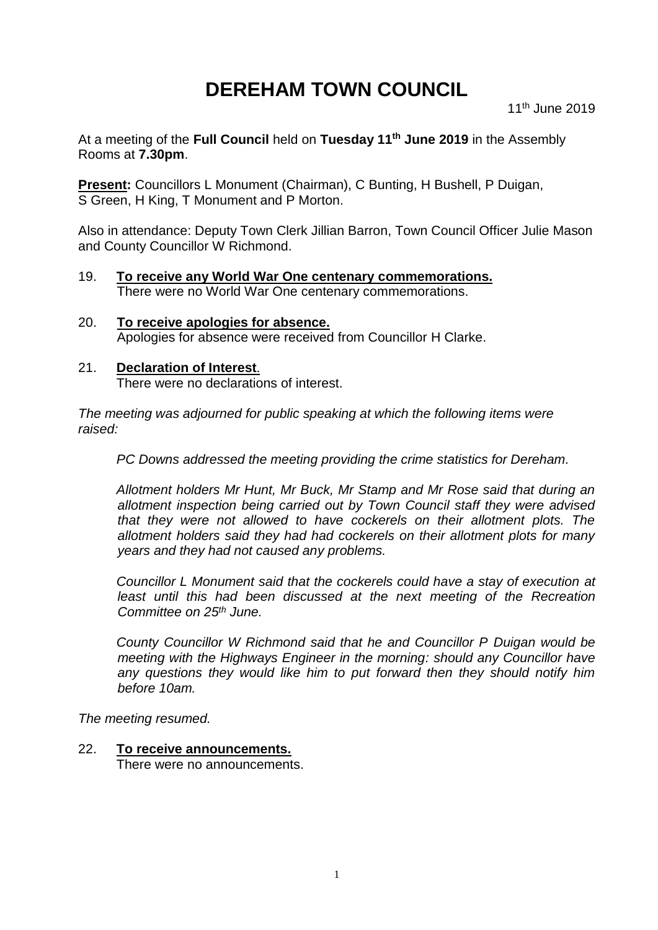# **DEREHAM TOWN COUNCIL**

At a meeting of the **Full Council** held on **Tuesday 11th June 2019** in the Assembly Rooms at **7.30pm**.

**Present:** Councillors L Monument (Chairman), C Bunting, H Bushell, P Duigan, S Green, H King, T Monument and P Morton.

Also in attendance: Deputy Town Clerk Jillian Barron, Town Council Officer Julie Mason and County Councillor W Richmond.

- 19. **To receive any World War One centenary commemorations.** There were no World War One centenary commemorations.
- 20. **To receive apologies for absence.** Apologies for absence were received from Councillor H Clarke.

# 21. **Declaration of Interest**.

There were no declarations of interest.

*The meeting was adjourned for public speaking at which the following items were raised:*

*PC Downs addressed the meeting providing the crime statistics for Dereham.*

*Allotment holders Mr Hunt, Mr Buck, Mr Stamp and Mr Rose said that during an allotment inspection being carried out by Town Council staff they were advised that they were not allowed to have cockerels on their allotment plots. The allotment holders said they had had cockerels on their allotment plots for many years and they had not caused any problems.*

*Councillor L Monument said that the cockerels could have a stay of execution at least until this had been discussed at the next meeting of the Recreation Committee on 25th June.*

*County Councillor W Richmond said that he and Councillor P Duigan would be meeting with the Highways Engineer in the morning: should any Councillor have any questions they would like him to put forward then they should notify him before 10am.*

*The meeting resumed.*

# 22. **To receive announcements.**

There were no announcements.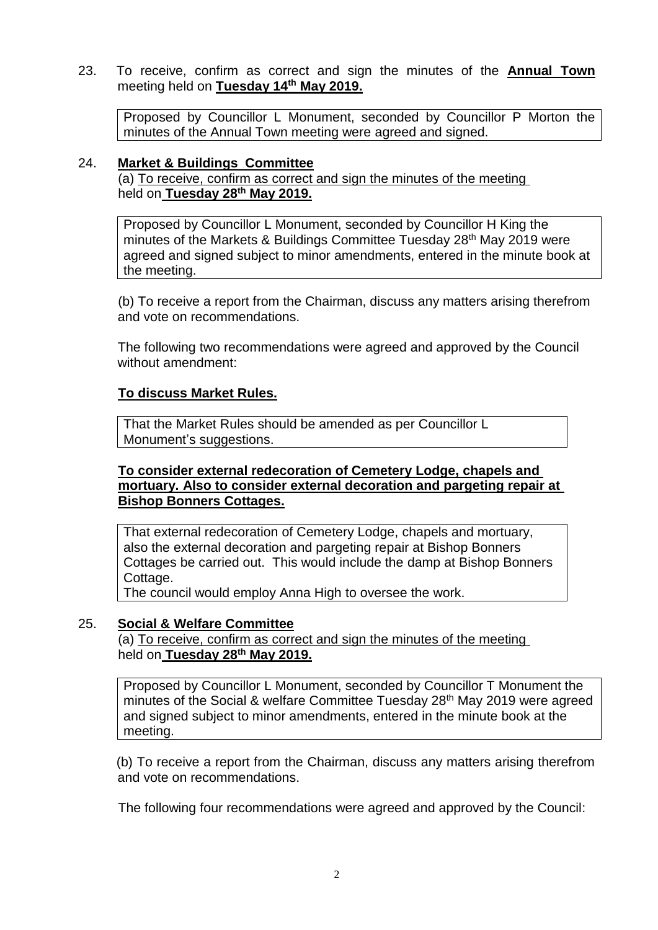23. To receive, confirm as correct and sign the minutes of the **Annual Town**  meeting held on **Tuesday 14th May 2019.**

Proposed by Councillor L Monument, seconded by Councillor P Morton the minutes of the Annual Town meeting were agreed and signed.

#### 24. **Market & Buildings Committee**

(a) To receive, confirm as correct and sign the minutes of the meeting held on **Tuesday 28th May 2019.**

Proposed by Councillor L Monument, seconded by Councillor H King the minutes of the Markets & Buildings Committee Tuesday 28<sup>th</sup> May 2019 were agreed and signed subject to minor amendments, entered in the minute book at the meeting.

(b) To receive a report from the Chairman, discuss any matters arising therefrom and vote on recommendations.

The following two recommendations were agreed and approved by the Council without amendment:

#### **To discuss Market Rules.**

That the Market Rules should be amended as per Councillor L Monument's suggestions.

#### **To consider external redecoration of Cemetery Lodge, chapels and mortuary. Also to consider external decoration and pargeting repair at Bishop Bonners Cottages.**

That external redecoration of Cemetery Lodge, chapels and mortuary, also the external decoration and pargeting repair at Bishop Bonners Cottages be carried out. This would include the damp at Bishop Bonners Cottage.

The council would employ Anna High to oversee the work.

# 25. **Social & Welfare Committee**

(a) To receive, confirm as correct and sign the minutes of the meeting held on **Tuesday 28th May 2019.**

Proposed by Councillor L Monument, seconded by Councillor T Monument the minutes of the Social & welfare Committee Tuesday 28<sup>th</sup> May 2019 were agreed and signed subject to minor amendments, entered in the minute book at the meeting.

(b) To receive a report from the Chairman, discuss any matters arising therefrom and vote on recommendations.

The following four recommendations were agreed and approved by the Council: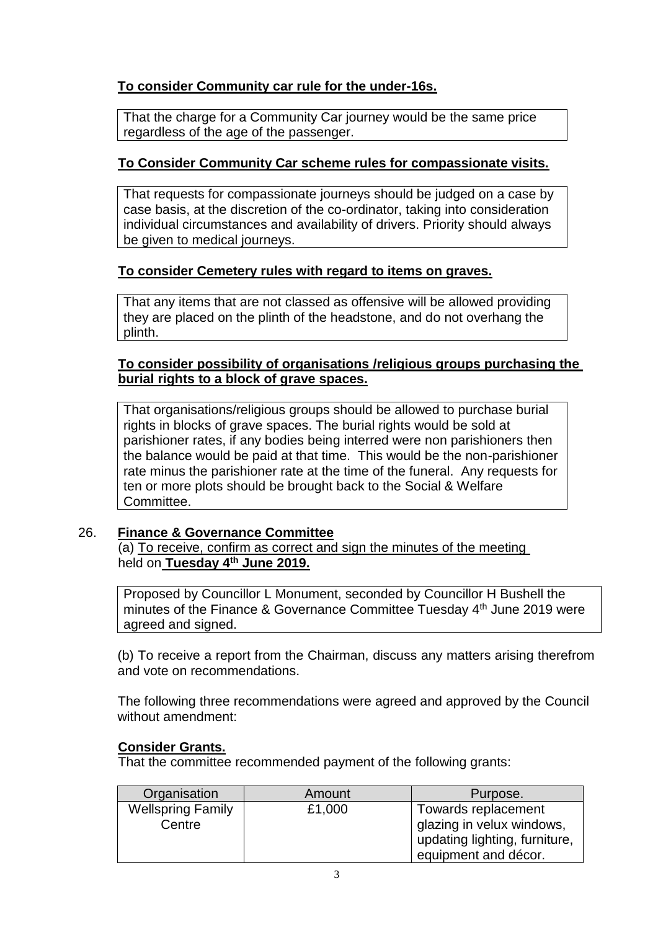# **To consider Community car rule for the under-16s.**

That the charge for a Community Car journey would be the same price regardless of the age of the passenger.

# **To Consider Community Car scheme rules for compassionate visits.**

That requests for compassionate journeys should be judged on a case by case basis, at the discretion of the co-ordinator, taking into consideration individual circumstances and availability of drivers. Priority should always be given to medical journeys.

# **To consider Cemetery rules with regard to items on graves.**

That any items that are not classed as offensive will be allowed providing they are placed on the plinth of the headstone, and do not overhang the plinth.

# **To consider possibility of organisations /religious groups purchasing the burial rights to a block of grave spaces.**

That organisations/religious groups should be allowed to purchase burial rights in blocks of grave spaces. The burial rights would be sold at parishioner rates, if any bodies being interred were non parishioners then the balance would be paid at that time. This would be the non-parishioner rate minus the parishioner rate at the time of the funeral. Any requests for ten or more plots should be brought back to the Social & Welfare Committee.

# 26. **Finance & Governance Committee**

(a) To receive, confirm as correct and sign the minutes of the meeting held on **Tuesday 4 th June 2019.**

Proposed by Councillor L Monument, seconded by Councillor H Bushell the minutes of the Finance & Governance Committee Tuesday 4<sup>th</sup> June 2019 were agreed and signed.

(b) To receive a report from the Chairman, discuss any matters arising therefrom and vote on recommendations.

The following three recommendations were agreed and approved by the Council without amendment:

# **Consider Grants.**

That the committee recommended payment of the following grants:

| Organisation             | Amount | Purpose.                      |
|--------------------------|--------|-------------------------------|
| <b>Wellspring Family</b> | £1,000 | Towards replacement           |
| Centre                   |        | glazing in velux windows,     |
|                          |        | updating lighting, furniture, |
|                          |        | equipment and décor.          |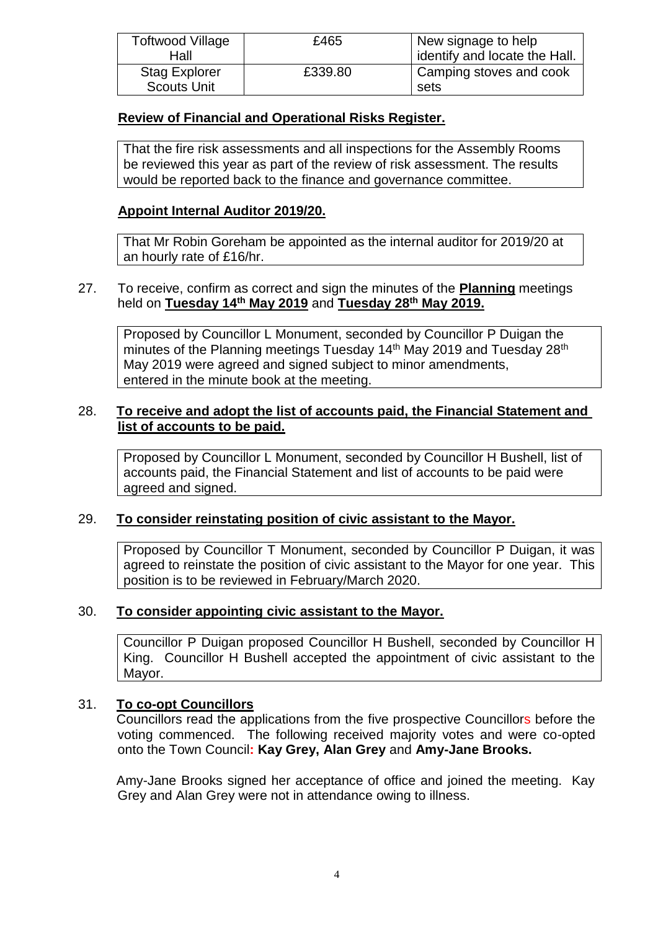| Toftwood Village     | £465    | New signage to help           |
|----------------------|---------|-------------------------------|
| Hall                 |         | identify and locate the Hall. |
| <b>Stag Explorer</b> | £339.80 | Camping stoves and cook       |
| <b>Scouts Unit</b>   |         | sets                          |

#### **Review of Financial and Operational Risks Register.**

That the fire risk assessments and all inspections for the Assembly Rooms be reviewed this year as part of the review of risk assessment. The results would be reported back to the finance and governance committee.

# **Appoint Internal Auditor 2019/20.**

That Mr Robin Goreham be appointed as the internal auditor for 2019/20 at an hourly rate of £16/hr.

# 27. To receive, confirm as correct and sign the minutes of the **Planning** meetings held on **Tuesday 14th May 2019** and **Tuesday 28th May 2019.**

Proposed by Councillor L Monument, seconded by Councillor P Duigan the minutes of the Planning meetings Tuesday 14<sup>th</sup> May 2019 and Tuesday 28<sup>th</sup> May 2019 were agreed and signed subject to minor amendments, entered in the minute book at the meeting.

# 28. **To receive and adopt the list of accounts paid, the Financial Statement and list of accounts to be paid.**

Proposed by Councillor L Monument, seconded by Councillor H Bushell, list of accounts paid, the Financial Statement and list of accounts to be paid were agreed and signed.

# 29. **To consider reinstating position of civic assistant to the Mayor.**

Proposed by Councillor T Monument, seconded by Councillor P Duigan, it was agreed to reinstate the position of civic assistant to the Mayor for one year. This position is to be reviewed in February/March 2020.

# 30. **To consider appointing civic assistant to the Mayor.**

Councillor P Duigan proposed Councillor H Bushell, seconded by Councillor H King. Councillor H Bushell accepted the appointment of civic assistant to the Mayor.

# 31. **To co-opt Councillors**

Councillors read the applications from the five prospective Councillors before the voting commenced. The following received majority votes and were co-opted onto the Town Council**: Kay Grey, Alan Grey** and **Amy-Jane Brooks.**

Amy-Jane Brooks signed her acceptance of office and joined the meeting. Kay Grey and Alan Grey were not in attendance owing to illness.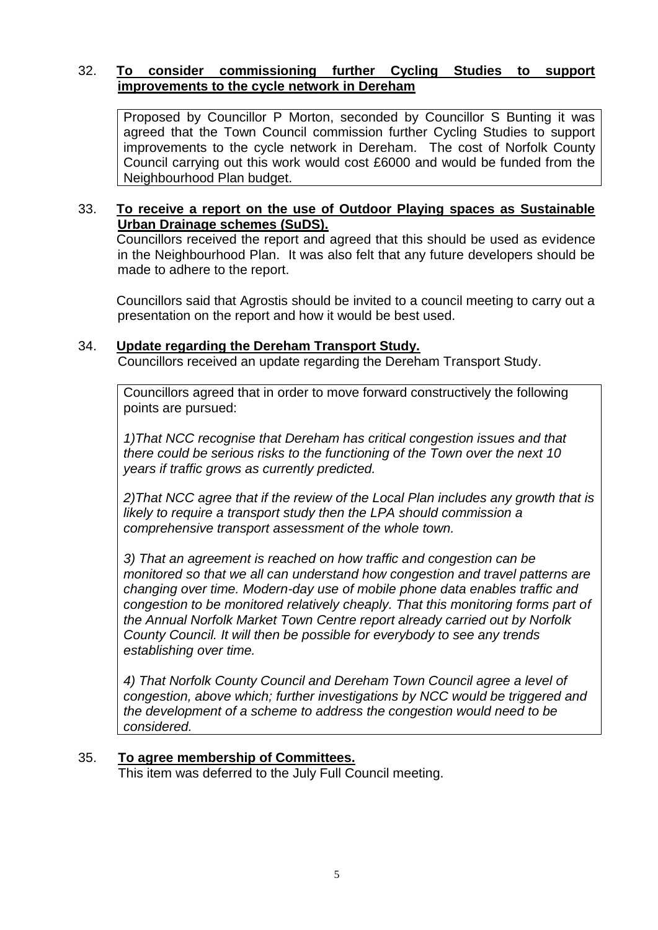# 32. **To consider commissioning further Cycling Studies to support improvements to the cycle network in Dereham**

Proposed by Councillor P Morton, seconded by Councillor S Bunting it was agreed that the Town Council commission further Cycling Studies to support improvements to the cycle network in Dereham. The cost of Norfolk County Council carrying out this work would cost £6000 and would be funded from the Neighbourhood Plan budget.

# 33. **To receive a report on the use of Outdoor Playing spaces as Sustainable Urban Drainage schemes (SuDS).**

Councillors received the report and agreed that this should be used as evidence in the Neighbourhood Plan. It was also felt that any future developers should be made to adhere to the report.

Councillors said that Agrostis should be invited to a council meeting to carry out a presentation on the report and how it would be best used.

# 34. **Update regarding the Dereham Transport Study.**

Councillors received an update regarding the Dereham Transport Study.

Councillors agreed that in order to move forward constructively the following points are pursued:

*1)That NCC recognise that Dereham has critical congestion issues and that there could be serious risks to the functioning of the Town over the next 10 years if traffic grows as currently predicted.* 

*2)That NCC agree that if the review of the Local Plan includes any growth that is likely to require a transport study then the LPA should commission a comprehensive transport assessment of the whole town.* 

*3) That an agreement is reached on how traffic and congestion can be monitored so that we all can understand how congestion and travel patterns are changing over time. Modern-day use of mobile phone data enables traffic and congestion to be monitored relatively cheaply. That this monitoring forms part of the Annual Norfolk Market Town Centre report already carried out by Norfolk County Council. It will then be possible for everybody to see any trends establishing over time.*

*4) That Norfolk County Council and Dereham Town Council agree a level of congestion, above which; further investigations by NCC would be triggered and the development of a scheme to address the congestion would need to be considered.*

# 35. **To agree membership of Committees.**

This item was deferred to the July Full Council meeting.